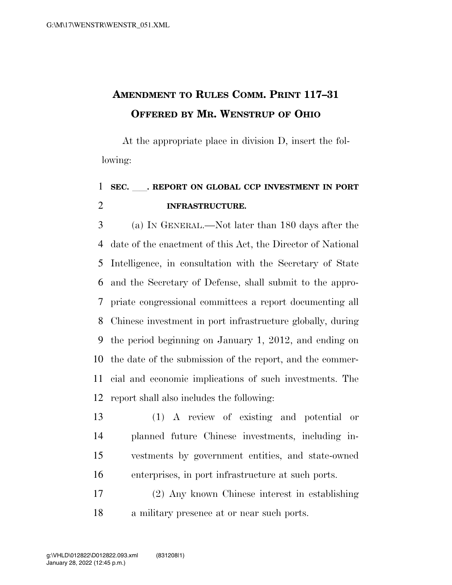## **AMENDMENT TO RULES COMM. PRINT 117–31 OFFERED BY MR. WENSTRUP OF OHIO**

At the appropriate place in division D, insert the following:

## **SEC.** ll**. REPORT ON GLOBAL CCP INVESTMENT IN PORT INFRASTRUCTURE.**

 (a) IN GENERAL.—Not later than 180 days after the date of the enactment of this Act, the Director of National Intelligence, in consultation with the Secretary of State and the Secretary of Defense, shall submit to the appro- priate congressional committees a report documenting all Chinese investment in port infrastructure globally, during the period beginning on January 1, 2012, and ending on the date of the submission of the report, and the commer- cial and economic implications of such investments. The report shall also includes the following:

- (1) A review of existing and potential or planned future Chinese investments, including in- vestments by government entities, and state-owned enterprises, in port infrastructure at such ports.
- (2) Any known Chinese interest in establishing a military presence at or near such ports.